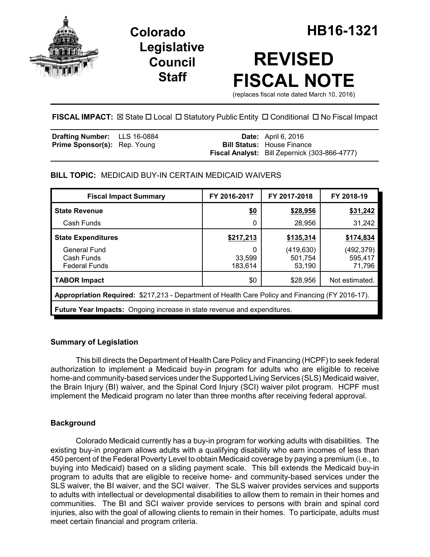

# **Legislative Council Staff**

# **REVISED FISCAL NOTE**

(replaces fiscal note dated March 10, 2016)

**FISCAL IMPACT:** ⊠ State □ Local □ Statutory Public Entity □ Conditional □ No Fiscal Impact

| <b>Drafting Number:</b> LLS 16-0884 |  | <b>Date:</b> April 6, 2016                           |
|-------------------------------------|--|------------------------------------------------------|
| <b>Prime Sponsor(s):</b> Rep. Young |  | <b>Bill Status:</b> House Finance                    |
|                                     |  | <b>Fiscal Analyst:</b> Bill Zepernick (303-866-4777) |

## **BILL TOPIC:** MEDICAID BUY-IN CERTAIN MEDICAID WAIVERS

| FY 2016-2017                                                                                     | FY 2017-2018                   | FY 2018-19                      |  |  |
|--------------------------------------------------------------------------------------------------|--------------------------------|---------------------------------|--|--|
| \$0                                                                                              | \$28,956                       | \$31,242                        |  |  |
| 0                                                                                                | 28,956                         | 31,242                          |  |  |
| \$217,213                                                                                        | \$135,314                      | \$174,834                       |  |  |
| 0<br>33.599<br>183,614                                                                           | (419,630)<br>501,754<br>53,190 | (492, 379)<br>595,417<br>71,796 |  |  |
| \$0                                                                                              | \$28,956                       | Not estimated.                  |  |  |
| Appropriation Required: \$217,213 - Department of Health Care Policy and Financing (FY 2016-17). |                                |                                 |  |  |
| <b>Future Year Impacts:</b> Ongoing increase in state revenue and expenditures.                  |                                |                                 |  |  |
|                                                                                                  |                                |                                 |  |  |

### **Summary of Legislation**

This bill directs the Department of Health Care Policy and Financing (HCPF) to seek federal authorization to implement a Medicaid buy-in program for adults who are eligible to receive home-and community-based services under the Supported Living Services (SLS) Medicaid waiver, the Brain Injury (BI) waiver, and the Spinal Cord Injury (SCI) waiver pilot program. HCPF must implement the Medicaid program no later than three months after receiving federal approval.

### **Background**

Colorado Medicaid currently has a buy-in program for working adults with disabilities. The existing buy-in program allows adults with a qualifying disability who earn incomes of less than 450 percent of the Federal Poverty Level to obtain Medicaid coverage by paying a premium (i.e., to buying into Medicaid) based on a sliding payment scale. This bill extends the Medicaid buy-in program to adults that are eligible to receive home- and community-based services under the SLS waiver, the BI waiver, and the SCI waiver. The SLS waiver provides services and supports to adults with intellectual or developmental disabilities to allow them to remain in their homes and communities. The BI and SCI waiver provide services to persons with brain and spinal cord injuries, also with the goal of allowing clients to remain in their homes. To participate, adults must meet certain financial and program criteria.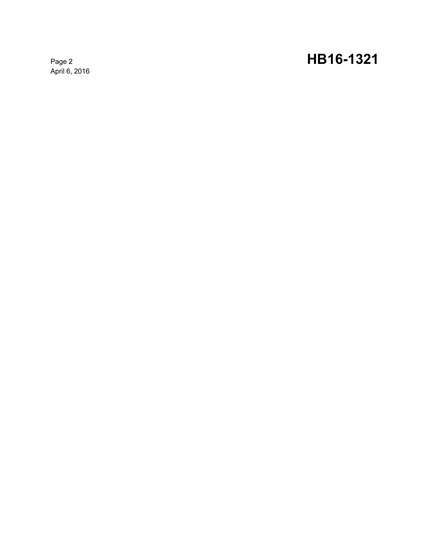April 6, 2016

# Page 2 **HB16-1321**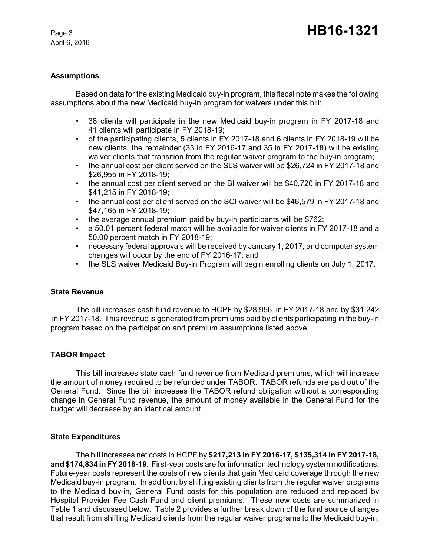April 6, 2016

#### **Assumptions**

Based on data for the existing Medicaid buy-in program, this fiscal note makes the following assumptions about the new Medicaid buy-in program for waivers under this bill:

- 38 clients will participate in the new Medicaid buy-in program in FY 2017-18 and 41 clients will participate in FY 2018-19;
- of the participating clients, 5 clients in FY 2017-18 and 6 clients in FY 2018-19 will be new clients, the remainder (33 in FY 2016-17 and 35 in FY 2017-18) will be existing waiver clients that transition from the regular waiver program to the buy-in program;
- the annual cost per client served on the SLS waiver will be \$26,724 in FY 2017-18 and \$26,955 in FY 2018-19;
- the annual cost per client served on the BI waiver will be \$40,720 in FY 2017-18 and \$41,215 in FY 2018-19;
- the annual cost per client served on the SCI waiver will be \$46,579 in FY 2017-18 and \$47,165 in FY 2018-19;
- the average annual premium paid by buy-in participants will be \$762;
- a 50.01 percent federal match will be available for waiver clients in FY 2017-18 and a 50.00 percent match in FY 2018-19;
- necessary federal approvals will be received by January 1, 2017, and computer system changes will occur by the end of FY 2016-17; and
- the SLS waiver Medicaid Buy-in Program will begin enrolling clients on July 1, 2017.

#### **State Revenue**

The bill increases cash fund revenue to HCPF by \$28,956 in FY 2017-18 and by \$31,242 in FY 2017-18. This revenue is generated from premiums paid by clients participating in the buy-in program based on the participation and premium assumptions listed above.

#### **TABOR Impact**

This bill increases state cash fund revenue from Medicaid premiums, which will increase the amount of money required to be refunded under TABOR. TABOR refunds are paid out of the General Fund. Since the bill increases the TABOR refund obligation without a corresponding change in General Fund revenue, the amount of money available in the General Fund for the budget will decrease by an identical amount.

#### **State Expenditures**

The bill increases net costs in HCPF by **\$217,213 in FY 2016-17, \$135,314 in FY 2017-18, and \$174,834 in FY 2018-19.** First-year costs are for information technology system modifications. Future-year costs represent the costs of new clients that gain Medicaid coverage through the new Medicaid buy-in program. In addition, by shifting existing clients from the regular waiver programs to the Medicaid buy-in, General Fund costs for this population are reduced and replaced by Hospital Provider Fee Cash Fund and client premiums. These new costs are summarized in Table 1 and discussed below. Table 2 provides a further break down of the fund source changes that result from shifting Medicaid clients from the regular waiver programs to the Medicaid buy-in.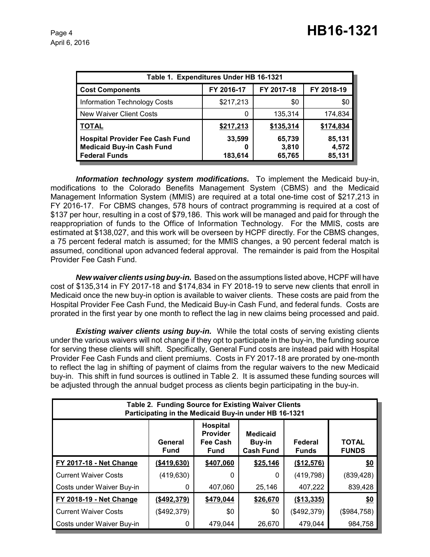| Table 1. Expenditures Under HB 16-1321                                                             |                   |                           |                           |  |  |
|----------------------------------------------------------------------------------------------------|-------------------|---------------------------|---------------------------|--|--|
| <b>Cost Components</b>                                                                             | FY 2016-17        | FY 2017-18                | FY 2018-19                |  |  |
| Information Technology Costs                                                                       | \$217,213         | \$0                       | \$0                       |  |  |
| <b>New Waiver Client Costs</b>                                                                     | 0                 | 135,314                   | 174,834                   |  |  |
| <b>TOTAL</b>                                                                                       | \$217,213         | \$135,314                 | \$174,834                 |  |  |
| <b>Hospital Provider Fee Cash Fund</b><br><b>Medicaid Buy-in Cash Fund</b><br><b>Federal Funds</b> | 33,599<br>183,614 | 65,739<br>3,810<br>65,765 | 85,131<br>4,572<br>85,131 |  |  |

*Information technology system modifications.* To implement the Medicaid buy-in, modifications to the Colorado Benefits Management System (CBMS) and the Medicaid Management Information System (MMIS) are required at a total one-time cost of \$217,213 in FY 2016-17. For CBMS changes, 578 hours of contract programming is required at a cost of \$137 per hour, resulting in a cost of \$79,186. This work will be managed and paid for through the reappropriation of funds to the Office of Information Technology. For the MMIS, costs are estimated at \$138,027, and this work will be overseen by HCPF directly. For the CBMS changes, a 75 percent federal match is assumed; for the MMIS changes, a 90 percent federal match is assumed, conditional upon advanced federal approval. The remainder is paid from the Hospital Provider Fee Cash Fund.

*New waiver clients using buy-in.* Based on the assumptions listed above, HCPF will have cost of \$135,314 in FY 2017-18 and \$174,834 in FY 2018-19 to serve new clients that enroll in Medicaid once the new buy-in option is available to waiver clients. These costs are paid from the Hospital Provider Fee Cash Fund, the Medicaid Buy-in Cash Fund, and federal funds. Costs are prorated in the first year by one month to reflect the lag in new claims being processed and paid.

**Existing waiver clients using buy-in.** While the total costs of serving existing clients under the various waivers will not change if they opt to participate in the buy-in, the funding source for serving these clients will shift. Specifically, General Fund costs are instead paid with Hospital Provider Fee Cash Funds and client premiums. Costs in FY 2017-18 are prorated by one-month to reflect the lag in shifting of payment of claims from the regular waivers to the new Medicaid buy-in. This shift in fund sources is outlined in Table 2. It is assumed these funding sources will be adjusted through the annual budget process as clients begin participating in the buy-in.

| Table 2. Funding Source for Existing Waiver Clients<br>Participating in the Medicaid Buy-in under HB 16-1321 |                        |                                                        |                                                      |                         |                              |
|--------------------------------------------------------------------------------------------------------------|------------------------|--------------------------------------------------------|------------------------------------------------------|-------------------------|------------------------------|
|                                                                                                              | General<br><b>Fund</b> | <b>Hospital</b><br>Provider<br>Fee Cash<br><b>Fund</b> | <b>Medicaid</b><br><b>Buy-in</b><br><b>Cash Fund</b> | Federal<br><b>Funds</b> | <b>TOTAL</b><br><b>FUNDS</b> |
| <b>FY 2017-18 - Net Change</b>                                                                               | (\$419,630)            | \$407,060                                              | \$25,146                                             | (\$12,576)              | <u>\$0</u>                   |
| <b>Current Waiver Costs</b>                                                                                  | (419, 630)             | 0                                                      | 0                                                    | (419, 798)              | (839, 428)                   |
| Costs under Waiver Buy-in                                                                                    | 0                      | 407,060                                                | 25.146                                               | 407,222                 | 839,428                      |
| FY 2018-19 - Net Change                                                                                      | (\$492,379)            | \$479,044                                              | \$26,670                                             | (\$13,335)              | <u>\$0</u>                   |
| <b>Current Waiver Costs</b>                                                                                  | (\$492,379)            | \$0                                                    | \$0                                                  | (\$492,379)             | (\$984,758)                  |
| Costs under Waiver Buy-in                                                                                    |                        | 479,044                                                | 26,670                                               | 479,044                 | 984,758                      |